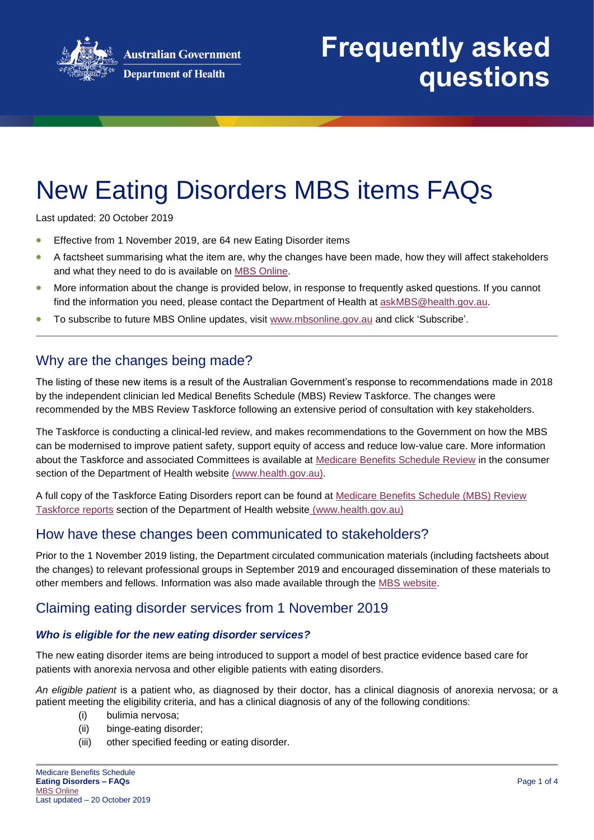

# New Eating Disorders MBS items FAQs

Last updated: 20 October 2019

- Effective from 1 November 2019, are 64 new Eating Disorder items
- A factsheet summarising what the item are, why the changes have been made, how they will affect stakeholders and what they need to do is available on [MBS Online.](http://www.mbsonline.gov.au/internet/mbsonline/publishing.nsf/Content/factsheet-current)
- More information about the change is provided below, in response to frequently asked questions. If you cannot find the information you need, please contact the Department of Health at [askMBS@health.gov.au.](mailto:askMBS@health.gov.au)
- To subscribe to future MBS Online updates, visit [www.mbsonline.gov.au](http://www.mbsonline.gov.au/) and click 'Subscribe'.

## Why are the changes being made?

The listing of these new items is a result of the Australian Government's response to recommendations made in 2018 by the independent clinician led Medical Benefits Schedule (MBS) Review Taskforce. The changes were recommended by the MBS Review Taskforce following an extensive period of consultation with key stakeholders.

The Taskforce is conducting a clinical-led review, and makes recommendations to the Government on how the MBS can be modernised to improve patient safety, support equity of access and reduce low-value care. More information about the Taskforce and associated Committees is available at [Medicare Benefits Schedule Review](http://www.health.gov.au/internet/main/publishing.nsf/content/mbsreviewtaskforce) in the consumer section of the Department of Health website [\(www.health.gov.au\)](http://www.health.gov.au/).

A full copy of the Taskforce Eating Disorders report can be found at [Medicare Benefits Schedule \(MBS\) Review](https://www1.health.gov.au/internet/main/publishing.nsf/Content/MBSR-closed-consult)  [Taskforce reports](https://www1.health.gov.au/internet/main/publishing.nsf/Content/MBSR-closed-consult) section of the Department of Health website [\(www.health.gov.au\)](http://www.health.gov.au/)

# How have these changes been communicated to stakeholders?

Prior to the 1 November 2019 listing, the Department circulated communication materials (including factsheets about the changes) to relevant professional groups in September 2019 and encouraged dissemination of these materials to other members and fellows. Information was also made available through the [MBS website.](http://www.mbsonline.gov.au/)

# Claiming eating disorder services from 1 November 2019

#### *Who is eligible for the new eating disorder services?*

The new eating disorder items are being introduced to support a model of best practice evidence based care for patients with anorexia nervosa and other eligible patients with eating disorders.

*An eligible patient* is a patient who, as diagnosed by their doctor, has a clinical diagnosis of anorexia nervosa; or a patient meeting the eligibility criteria, and has a clinical diagnosis of any of the following conditions:

- (i) bulimia nervosa;
- (ii) binge-eating disorder;
- (iii) other specified feeding or eating disorder.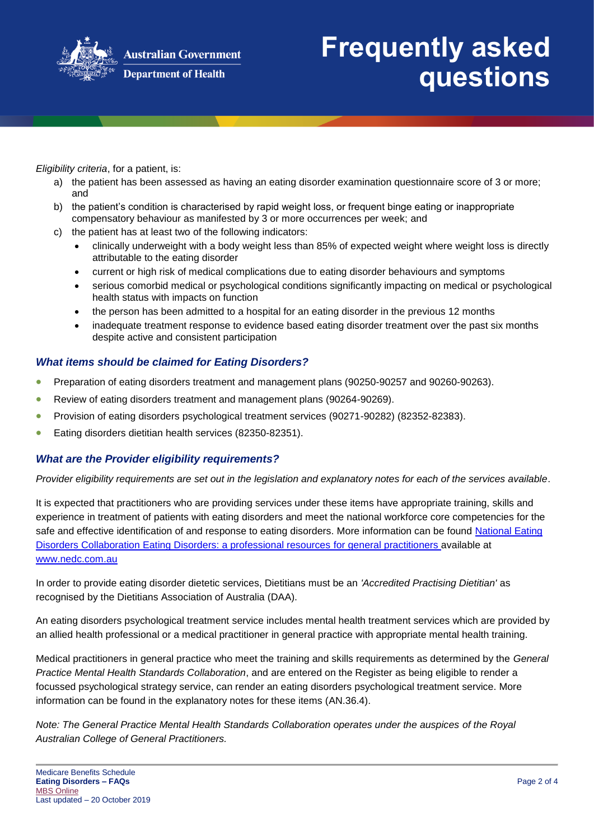

**Australian Government** 

#### **Department of Health**

# **Frequently asked questions**

*Eligibility criteria*, for a patient, is:

- a) the patient has been assessed as having an eating disorder examination questionnaire score of 3 or more; and
- b) the patient's condition is characterised by rapid weight loss, or frequent binge eating or inappropriate compensatory behaviour as manifested by 3 or more occurrences per week; and
- c) the patient has at least two of the following indicators:
	- clinically underweight with a body weight less than 85% of expected weight where weight loss is directly attributable to the eating disorder
	- current or high risk of medical complications due to eating disorder behaviours and symptoms
	- serious comorbid medical or psychological conditions significantly impacting on medical or psychological health status with impacts on function
	- the person has been admitted to a hospital for an eating disorder in the previous 12 months
	- inadequate treatment response to evidence based eating disorder treatment over the past six months despite active and consistent participation

## *What items should be claimed for Eating Disorders?*

- Preparation of eating disorders treatment and management plans (90250-90257 and 90260-90263).
- Review of eating disorders treatment and management plans (90264-90269).
- Provision of eating disorders psychological treatment services (90271-90282) (82352-82383).
- Eating disorders dietitian health services (82350-82351).

#### *What are the Provider eligibility requirements?*

*Provider eligibility requirements are set out in the legislation and explanatory notes for each of the services available*.

It is expected that practitioners who are providing services under these items have appropriate training, skills and experience in treatment of patients with eating disorders and meet the national workforce core competencies for the safe and effective identification of and response to eating disorders. More information can be found National Eating [Disorders Collaboration Eating Disorders: a professional resources for general practitioners a](https://www.nedc.com.au/assets/NEDC-Resources/NEDC-Resource-GPs.pdf)vailable at [www.nedc.com.au](https://www.nedc.com.au/)

In order to provide eating disorder dietetic services, Dietitians must be an *'Accredited Practising Dietitian'* as recognised by the Dietitians Association of Australia (DAA).

An eating disorders psychological treatment service includes mental health treatment services which are provided by an allied health professional or a medical practitioner in general practice with appropriate mental health training.

Medical practitioners in general practice who meet the training and skills requirements as determined by the *General Practice Mental Health Standards Collaboration*, and are entered on the Register as being eligible to render a focussed psychological strategy service, can render an eating disorders psychological treatment service. More information can be found in the explanatory notes for these items (AN.36.4).

*Note: The General Practice Mental Health Standards Collaboration operates under the auspices of the Royal Australian College of General Practitioners.*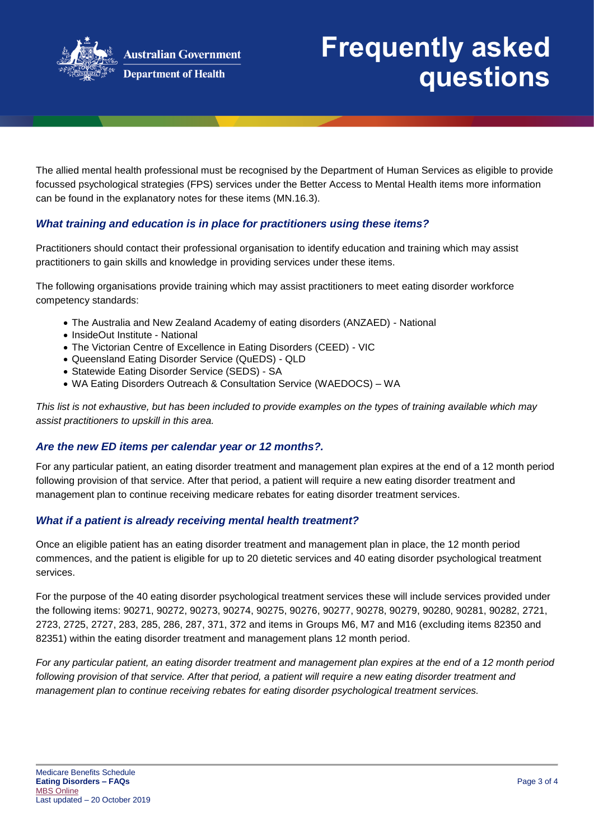

# **Frequently asked questions**

The allied mental health professional must be recognised by the Department of Human Services as eligible to provide focussed psychological strategies (FPS) services under the Better Access to Mental Health items more information can be found in the explanatory notes for these items (MN.16.3).

## *What training and education is in place for practitioners using these items?*

Practitioners should contact their professional organisation to identify education and training which may assist practitioners to gain skills and knowledge in providing services under these items.

The following organisations provide training which may assist practitioners to meet eating disorder workforce competency standards:

- The Australia and New Zealand Academy of eating disorders (ANZAED) National
- InsideOut Institute National
- The Victorian Centre of Excellence in Eating Disorders (CEED) VIC
- Queensland Eating Disorder Service (QuEDS) QLD
- Statewide Eating Disorder Service (SEDS) SA
- WA Eating Disorders Outreach & Consultation Service (WAEDOCS) WA

*This list is not exhaustive, but has been included to provide examples on the types of training available which may assist practitioners to upskill in this area.*

#### *Are the new ED items per calendar year or 12 months?.*

For any particular patient, an eating disorder treatment and management plan expires at the end of a 12 month period following provision of that service. After that period, a patient will require a new eating disorder treatment and management plan to continue receiving medicare rebates for eating disorder treatment services.

#### *What if a patient is already receiving mental health treatment?*

Once an eligible patient has an eating disorder treatment and management plan in place, the 12 month period commences, and the patient is eligible for up to 20 dietetic services and 40 eating disorder psychological treatment services.

For the purpose of the 40 eating disorder psychological treatment services these will include services provided under the following items: 90271, 90272, 90273, 90274, 90275, 90276, 90277, 90278, 90279, 90280, 90281, 90282, 2721, 2723, 2725, 2727, 283, 285, 286, 287, 371, 372 and items in Groups M6, M7 and M16 (excluding items 82350 and 82351) within the eating disorder treatment and management plans 12 month period.

*For any particular patient, an eating disorder treatment and management plan expires at the end of a 12 month period following provision of that service. After that period, a patient will require a new eating disorder treatment and management plan to continue receiving rebates for eating disorder psychological treatment services.*